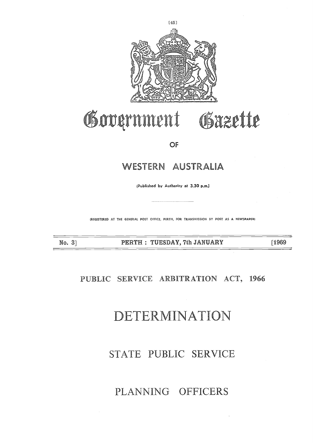

# Government Gazette

OF

### WESTERN AUSTRALIA

**(Published by Authority at 3.30 p.m.;**

(REGISTERED AT THE GENERAL POST OFFICE, PERTH, FOR TRANSMISSION BY POST AS A NEWSPAPERI

No. 3] PERTH : TUESDAY, 7th JANUARY [1969]

### PUBLIC SERVICE ARBITRATION ACT, 1966

## DETERMINATION

### STATE PUBLIC SERVICE

### PLANNING OFFICERS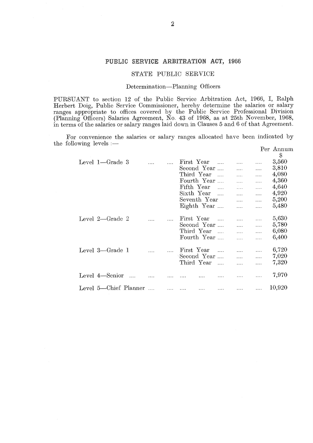#### **PUBLIC SERVICE ARBITRATION ACT, 1966**

#### STATE PUBLIC SERVICE

#### Determination—Planning Officers

PURSUANT to section 12 of the Public Service Arbitration Act, 1966, I, Ralph Herbert Doig, Public Service Commissioner, hereby determine the salaries or salary ranges appropriate to offices covered by the Public Service Professional Division (Planning Officers) Salaries Agreement, No. 43 of 1968, as at 25th November, 1968, in terms of the salaries or salary ranges laid down in Clauses 5 and 6 of that Agreement.

For convenience the salaries or salary ranges allocated have been indicated by the following levels :— Per Annum

|                                                                                                                                                                                                                                                                                                                                                                                                              |                                 |          |              | STATE PUBLIC SERVICE                                                                                              |          |                                                  |                                                                                                                                                          |                                                        |                                                                            |
|--------------------------------------------------------------------------------------------------------------------------------------------------------------------------------------------------------------------------------------------------------------------------------------------------------------------------------------------------------------------------------------------------------------|---------------------------------|----------|--------------|-------------------------------------------------------------------------------------------------------------------|----------|--------------------------------------------------|----------------------------------------------------------------------------------------------------------------------------------------------------------|--------------------------------------------------------|----------------------------------------------------------------------------|
|                                                                                                                                                                                                                                                                                                                                                                                                              | Determination—Planning Officers |          |              |                                                                                                                   |          |                                                  |                                                                                                                                                          |                                                        |                                                                            |
| ANT to section 12 of the Public Service Arbitration Act, 1966, I, Ralph<br>Doig, Public Service Commissioner, hereby determine the salaries or salary<br>appropriate to offices covered by the Public Service Professional Division<br>$\alpha$ g Officers) Salaries Agreement, No. 43 of 1968, as at 25th November, 1968<br>of the salaries or salary ranges laid down in Clauses 5 and 6 of that Agreement |                                 |          |              |                                                                                                                   |          |                                                  |                                                                                                                                                          |                                                        |                                                                            |
| convenience the salaries or salary ranges allocated have been indicated by<br>$\sum_{\text{owing levels}}$ in $\sum$                                                                                                                                                                                                                                                                                         |                                 |          |              |                                                                                                                   |          |                                                  |                                                                                                                                                          |                                                        | Per Annum                                                                  |
| Level 1-Grade 3                                                                                                                                                                                                                                                                                                                                                                                              |                                 | $\cdots$ | $\mathbf{1}$ | First Year<br>Second Year<br>Third Year<br>Fourth Year<br>Fifth Year<br>Sixth Year<br>Seventh Year<br>Eighth Year |          | $\cdots$<br>$\mathbf{1}$<br>$\sim$ $\sim$ $\sim$ | $\cdots$<br>.<br>$\mathbf{1}$<br><b>Save Common</b><br>$\mathcal{L}_{\text{max}}$<br>$\sim$<br>$\sim 100$<br>.                                           | .<br>$\cdots$<br>$\mathbf{r}$<br>.<br>.<br>.<br>.<br>. | \$<br>3,560<br>3,810<br>4,080<br>4,360<br>4,640<br>4,920<br>5,200<br>5,480 |
| Level 2-Grade 2                                                                                                                                                                                                                                                                                                                                                                                              |                                 |          |              | First Year<br>Second Year<br>Third Year<br>Fourth Year                                                            |          | $\mathbf{1}$<br>$\sim 100$ km s $^{-1}$          | $\mathbf{1}$<br>$\mathcal{L}(\mathcal{L}(\mathcal{L}))$<br>$\mathcal{L}(\mathcal{L}(\mathcal{L}))$<br>$\mathbb{Z} \times \mathbb{Z} \times \mathbb{R}^n$ | .<br>.<br>$\cdots$<br>$\cdots$                         | 5,630<br>5,780<br>6,080<br>6,400                                           |
| Level 3-Grade 1                                                                                                                                                                                                                                                                                                                                                                                              |                                 |          |              | First Year<br>Second Year<br>Third Year                                                                           |          | $\ldots$                                         | $\cdots$<br>$\mathbf{1}$<br>$\ldots$                                                                                                                     | .<br>$\cdots$<br>$\cdots$                              | 6,720<br>7,020<br>7,320                                                    |
| Level 4-Senior                                                                                                                                                                                                                                                                                                                                                                                               |                                 |          |              |                                                                                                                   |          |                                                  | $\cdots$                                                                                                                                                 | .                                                      | 7,970                                                                      |
| Level 5-Chief Planner                                                                                                                                                                                                                                                                                                                                                                                        |                                 |          | $\ldots$ .   | $\ldots$                                                                                                          | $\cdots$ | $\mathbb{Z} \times \mathbb{Z}$ .                 | .                                                                                                                                                        | $\ldots$                                               | 10,920                                                                     |
|                                                                                                                                                                                                                                                                                                                                                                                                              |                                 |          |              |                                                                                                                   |          |                                                  |                                                                                                                                                          |                                                        |                                                                            |